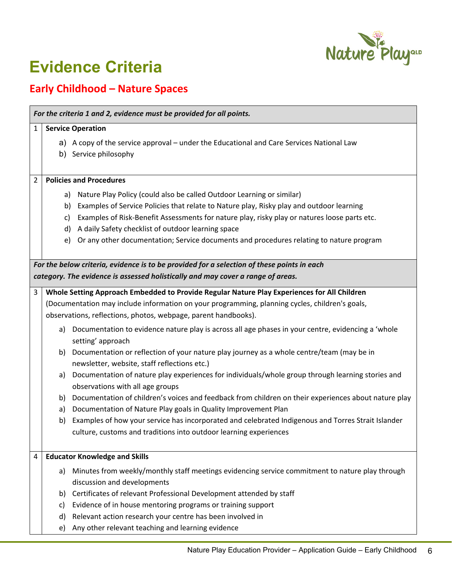

٦

## **Evidence Criteria**

## **Early Childhood – Nature Spaces**

| 1                                                                               | <b>Service Operation</b>                                                                   |                                                                                                                                                   |  |  |  |
|---------------------------------------------------------------------------------|--------------------------------------------------------------------------------------------|---------------------------------------------------------------------------------------------------------------------------------------------------|--|--|--|
|                                                                                 |                                                                                            | a) A copy of the service approval – under the Educational and Care Services National Law                                                          |  |  |  |
|                                                                                 |                                                                                            | b) Service philosophy                                                                                                                             |  |  |  |
|                                                                                 |                                                                                            |                                                                                                                                                   |  |  |  |
| 2                                                                               |                                                                                            | <b>Policies and Procedures</b>                                                                                                                    |  |  |  |
|                                                                                 |                                                                                            | a) Nature Play Policy (could also be called Outdoor Learning or similar)                                                                          |  |  |  |
|                                                                                 |                                                                                            | b) Examples of Service Policies that relate to Nature play, Risky play and outdoor learning                                                       |  |  |  |
|                                                                                 | C)                                                                                         | Examples of Risk-Benefit Assessments for nature play, risky play or natures loose parts etc.                                                      |  |  |  |
|                                                                                 |                                                                                            | d) A daily Safety checklist of outdoor learning space                                                                                             |  |  |  |
|                                                                                 |                                                                                            | e) Or any other documentation; Service documents and procedures relating to nature program                                                        |  |  |  |
|                                                                                 |                                                                                            |                                                                                                                                                   |  |  |  |
|                                                                                 | For the below criteria, evidence is to be provided for a selection of these points in each |                                                                                                                                                   |  |  |  |
| category. The evidence is assessed holistically and may cover a range of areas. |                                                                                            |                                                                                                                                                   |  |  |  |
| 3                                                                               |                                                                                            | Whole Setting Approach Embedded to Provide Regular Nature Play Experiences for All Children                                                       |  |  |  |
|                                                                                 |                                                                                            | (Documentation may include information on your programming, planning cycles, children's goals,                                                    |  |  |  |
|                                                                                 | observations, reflections, photos, webpage, parent handbooks).                             |                                                                                                                                                   |  |  |  |
|                                                                                 |                                                                                            | a) Documentation to evidence nature play is across all age phases in your centre, evidencing a 'whole                                             |  |  |  |
|                                                                                 |                                                                                            | setting' approach                                                                                                                                 |  |  |  |
|                                                                                 | b)                                                                                         | Documentation or reflection of your nature play journey as a whole centre/team (may be in                                                         |  |  |  |
|                                                                                 | a)                                                                                         | newsletter, website, staff reflections etc.)<br>Documentation of nature play experiences for individuals/whole group through learning stories and |  |  |  |
|                                                                                 |                                                                                            | observations with all age groups                                                                                                                  |  |  |  |
|                                                                                 | b)                                                                                         | Documentation of children's voices and feedback from children on their experiences about nature play                                              |  |  |  |
|                                                                                 | a)                                                                                         | Documentation of Nature Play goals in Quality Improvement Plan                                                                                    |  |  |  |
|                                                                                 | b)                                                                                         | Examples of how your service has incorporated and celebrated Indigenous and Torres Strait Islander                                                |  |  |  |
|                                                                                 |                                                                                            | culture, customs and traditions into outdoor learning experiences                                                                                 |  |  |  |
|                                                                                 |                                                                                            |                                                                                                                                                   |  |  |  |
| 4                                                                               | <b>Educator Knowledge and Skills</b>                                                       |                                                                                                                                                   |  |  |  |
|                                                                                 | a)                                                                                         | Minutes from weekly/monthly staff meetings evidencing service commitment to nature play through                                                   |  |  |  |
|                                                                                 |                                                                                            | discussion and developments                                                                                                                       |  |  |  |
|                                                                                 | b)                                                                                         | Certificates of relevant Professional Development attended by staff                                                                               |  |  |  |
|                                                                                 | c)                                                                                         | Evidence of in house mentoring programs or training support                                                                                       |  |  |  |
|                                                                                 | d)                                                                                         | Relevant action research your centre has been involved in                                                                                         |  |  |  |
|                                                                                 | e)                                                                                         | Any other relevant teaching and learning evidence                                                                                                 |  |  |  |